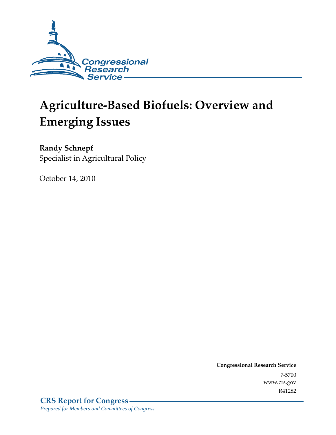

# **Agriculture-Based Biofuels: Overview and Emerging Issues**

**Randy Schnepf**  Specialist in Agricultural Policy

October 14, 2010

**Congressional Research Service** 7-5700 www.crs.gov R41282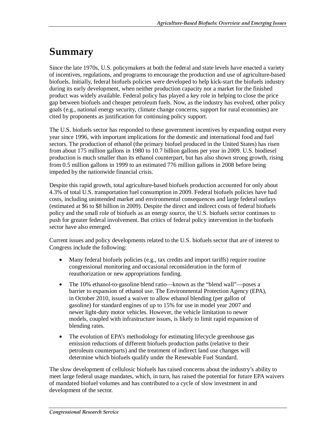# **Summary**

Since the late 1970s, U.S. policymakers at both the federal and state levels have enacted a variety of incentives, regulations, and programs to encourage the production and use of agriculture-based biofuels. Initially, federal biofuels policies were developed to help kick-start the biofuels industry during its early development, when neither production capacity nor a market for the finished product was widely available. Federal policy has played a key role in helping to close the price gap between biofuels and cheaper petroleum fuels. Now, as the industry has evolved, other policy goals (e.g., national energy security, climate change concerns, support for rural economies) are cited by proponents as justification for continuing policy support.

The U.S. biofuels sector has responded to these government incentives by expanding output every year since 1996, with important implications for the domestic and international food and fuel sectors. The production of ethanol (the primary biofuel produced in the United States) has risen from about 175 million gallons in 1980 to 10.7 billion gallons per year in 2009. U.S. biodiesel production is much smaller than its ethanol counterpart, but has also shown strong growth, rising from 0.5 million gallons in 1999 to an estimated 776 million gallons in 2008 before being impeded by the nationwide financial crisis.

Despite this rapid growth, total agriculture-based biofuels production accounted for only about 4.3% of total U.S. transportation fuel consumption in 2009. Federal biofuels policies have had costs, including unintended market and environmental consequences and large federal outlays (estimated at \$6 to \$8 billion in 2009). Despite the direct and indirect costs of federal biofuels policy and the small role of biofuels as an energy source, the U.S. biofuels sector continues to push for greater federal involvement. But critics of federal policy intervention in the biofuels sector have also emerged.

Current issues and policy developments related to the U.S. biofuels sector that are of interest to Congress include the following:

- Many federal biofuels policies (e.g., tax credits and import tariffs) require routine congressional monitoring and occasional reconsideration in the form of reauthorization or new appropriations funding.
- The 10% ethanol-to-gasoline blend ratio—known as the "blend wall"—poses a barrier to expansion of ethanol use. The Environmental Protection Agency (EPA), in October 2010, issued a waiver to allow ethanol blending (per gallon of gasoline) for standard engines of up to 15% for use in model year 2007 and newer light-duty motor vehicles. However, the vehicle limitation to newer models, coupled with infrastructure issues, is likely to limit rapid expansion of blending rates.
- The evolution of EPA's methodology for estimating lifecycle greenhouse gas emission reductions of different biofuels production paths (relative to their petroleum counterparts) and the treatment of indirect land use changes will determine which biofuels qualify under the Renewable Fuel Standard.

The slow development of cellulosic biofuels has raised concerns about the industry's ability to meet large federal usage mandates, which, in turn, has raised the potential for future EPA waivers of mandated biofuel volumes and has contributed to a cycle of slow investment in and development of the sector.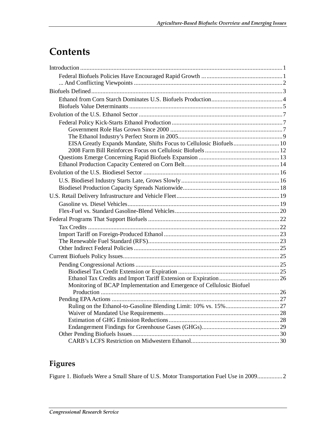# **Contents**

| EISA Greatly Expands Mandate, Shifts Focus to Cellulosic Biofuels 10  |  |
|-----------------------------------------------------------------------|--|
|                                                                       |  |
|                                                                       |  |
|                                                                       |  |
|                                                                       |  |
|                                                                       |  |
|                                                                       |  |
|                                                                       |  |
|                                                                       |  |
|                                                                       |  |
|                                                                       |  |
|                                                                       |  |
|                                                                       |  |
|                                                                       |  |
|                                                                       |  |
|                                                                       |  |
|                                                                       |  |
|                                                                       |  |
|                                                                       |  |
| Monitoring of BCAP Implementation and Emergence of Cellulosic Biofuel |  |
|                                                                       |  |
|                                                                       |  |
|                                                                       |  |
|                                                                       |  |
|                                                                       |  |
|                                                                       |  |
|                                                                       |  |

# **Figures**

Figure 1. Biofuels Were a Small Share of U.S. Motor Transportation Fuel Use in 2009................2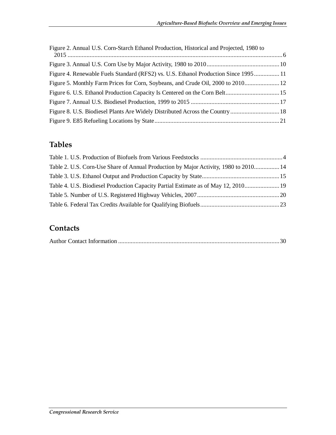| Figure 2. Annual U.S. Corn-Starch Ethanol Production, Historical and Projected, 1980 to |  |
|-----------------------------------------------------------------------------------------|--|
|                                                                                         |  |
|                                                                                         |  |
| Figure 4. Renewable Fuels Standard (RFS2) vs. U.S. Ethanol Production Since 1995 11     |  |
| Figure 5. Monthly Farm Prices for Corn, Soybeans, and Crude Oil, 2000 to 2010 12        |  |
|                                                                                         |  |
|                                                                                         |  |
|                                                                                         |  |
|                                                                                         |  |

# **Tables**

| Table 2. U.S. Corn-Use Share of Annual Production by Major Activity, 1980 to 2010 14 |  |
|--------------------------------------------------------------------------------------|--|
|                                                                                      |  |
| Table 4. U.S. Biodiesel Production Capacity Partial Estimate as of May 12, 2010 19   |  |
|                                                                                      |  |
|                                                                                      |  |

# **Contacts**

|--|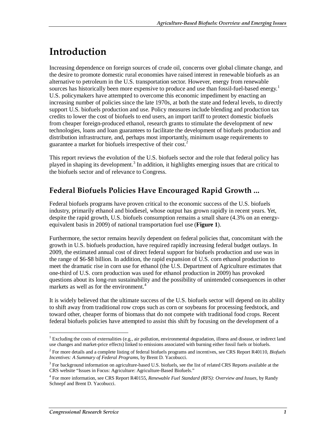# **Introduction**

Increasing dependence on foreign sources of crude oil, concerns over global climate change, and the desire to promote domestic rural economies have raised interest in renewable biofuels as an alternative to petroleum in the U.S. transportation sector. However, energy from renewable sources has historically been more expensive to produce and use than fossil-fuel-based energy.<sup>1</sup> U.S. policymakers have attempted to overcome this economic impediment by enacting an increasing number of policies since the late 1970s, at both the state and federal levels, to directly support U.S. biofuels production and use. Policy measures include blending and production tax credits to lower the cost of biofuels to end users, an import tariff to protect domestic biofuels from cheaper foreign-produced ethanol, research grants to stimulate the development of new technologies, loans and loan guarantees to facilitate the development of biofuels production and distribution infrastructure, and, perhaps most importantly, minimum usage requirements to guarantee a market for biofuels irrespective of their cost.<sup>2</sup>

This report reviews the evolution of the U.S. biofuels sector and the role that federal policy has played in shaping its development.<sup>3</sup> In addition, it highlights emerging issues that are critical to the biofuels sector and of relevance to Congress.

## **Federal Biofuels Policies Have Encouraged Rapid Growth ...**

Federal biofuels programs have proven critical to the economic success of the U.S. biofuels industry, primarily ethanol and biodiesel, whose output has grown rapidly in recent years. Yet, despite the rapid growth, U.S. biofuels consumption remains a small share (4.3% on an energyequivalent basis in 2009) of national transportation fuel use (**Figure 1**).

Furthermore, the sector remains heavily dependent on federal policies that, concomitant with the growth in U.S. biofuels production, have required rapidly increasing federal budget outlays. In 2009, the estimated annual cost of direct federal support for biofuels production and use was in the range of \$6-\$8 billion. In addition, the rapid expansion of U.S. corn ethanol production to meet the dramatic rise in corn use for ethanol (the U.S. Department of Agriculture estimates that one-third of U.S. corn production was used for ethanol production in 2009) has provoked questions about its long-run sustainability and the possibility of unintended consequences in other markets as well as for the environment.<sup>4</sup>

It is widely believed that the ultimate success of the U.S. biofuels sector will depend on its ability to shift away from traditional row crops such as corn or soybeans for processing feedstock, and toward other, cheaper forms of biomass that do not compete with traditional food crops. Recent federal biofuels policies have attempted to assist this shift by focusing on the development of a

 1 Excluding the costs of externalities (e.g., air pollution, environmental degradation, illness and disease, or indirect land use changes and market-price effects) linked to emissions associated with burning either fossil fuels or biofuels.

<sup>2</sup> For more details and a complete listing of federal biofuels programs and incentives, see CRS Report R40110, *Biofuels Incentives: A Summary of Federal Programs*, by Brent D. Yacobucci.

<sup>&</sup>lt;sup>3</sup> For background information on agriculture-based U.S. biofuels, see the list of related CRS Reports available at the CRS website "Issues in Focus: Agriculture: Agriculture-Based Biofuels."

<sup>4</sup> For more information, see CRS Report R40155, *Renewable Fuel Standard (RFS): Overview and Issues*, by Randy Schnepf and Brent D. Yacobucci.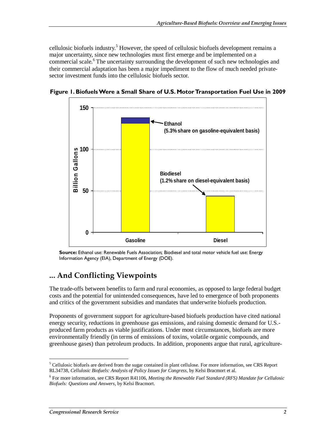cellulosic biofuels industry.<sup>5</sup> However, the speed of cellulosic biofuels development remains a major uncertainty, since new technologies must first emerge and be implemented on a commercial scale.<sup>6</sup> The uncertainty surrounding the development of such new technologies and their commercial adaptation has been a major impediment to the flow of much needed privatesector investment funds into the cellulosic biofuels sector.



**Figure 1. Biofuels Were a Small Share of U.S. Motor Transportation Fuel Use in 2009** 

**Source:** Ethanol use: Renewable Fuels Association; Biodiesel and total motor vehicle fuel use: Energy Information Agency (EIA), Department of Energy (DOE).

## **... And Conflicting Viewpoints**

The trade-offs between benefits to farm and rural economies, as opposed to large federal budget costs and the potential for unintended consequences, have led to emergence of both proponents and critics of the government subsidies and mandates that underwrite biofuels production.

Proponents of government support for agriculture-based biofuels production have cited national energy security, reductions in greenhouse gas emissions, and raising domestic demand for U.S. produced farm products as viable justifications. Under most circumstances, biofuels are more environmentally friendly (in terms of emissions of toxins, volatile organic compounds, and greenhouse gases) than petroleum products. In addition, proponents argue that rural, agriculture-

<sup>-</sup><sup>5</sup> Cellulosic biofuels are derived from the sugar contained in plant cellulose. For more information, see CRS Report RL34738, *Cellulosic Biofuels: Analysis of Policy Issues for Congress*, by Kelsi Bracmort et al.

<sup>6</sup> For more information, see CRS Report R41106, *Meeting the Renewable Fuel Standard (RFS) Mandate for Cellulosic Biofuels: Questions and Answers*, by Kelsi Bracmort.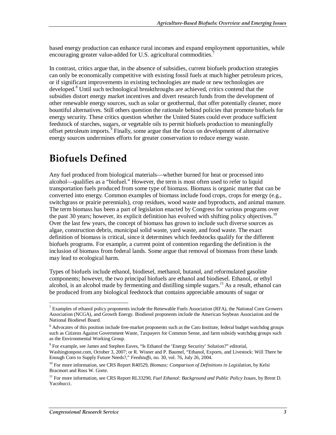based energy production can enhance rural incomes and expand employment opportunities, while encouraging greater value-added for U.S. agricultural commodities.

In contrast, critics argue that, in the absence of subsidies, current biofuels production strategies can only be economically competitive with existing fossil fuels at much higher petroleum prices, or if significant improvements in existing technologies are made or new technologies are developed.<sup>8</sup> Until such technological breakthroughs are achieved, critics contend that the subsidies distort energy market incentives and divert research funds from the development of other renewable energy sources, such as solar or geothermal, that offer potentially cleaner, more bountiful alternatives. Still others question the rationale behind policies that promote biofuels for energy security. These critics question whether the United States could ever produce sufficient feedstock of starches, sugars, or vegetable oils to permit biofuels production to meaningfully offset petroleum imports.<sup>9</sup> Finally, some argue that the focus on development of alternative energy sources undermines efforts for greater conservation to reduce energy waste.

# **Biofuels Defined**

Any fuel produced from biological materials—whether burned for heat or processed into alcohol—qualifies as a "biofuel." However, the term is most often used to refer to liquid transportation fuels produced from some type of biomass. Biomass is organic matter that can be converted into energy. Common examples of biomass include food crops, crops for energy (e.g., switchgrass or prairie perennials), crop residues, wood waste and byproducts, and animal manure. The term biomass has been a part of legislation enacted by Congress for various programs over the past 30 years; however, its explicit definition has evolved with shifting policy objectives.<sup>10</sup> Over the last few years, the concept of biomass has grown to include such diverse sources as algae, construction debris, municipal solid waste, yard waste, and food waste. The exact definition of biomass is critical, since it determines which feedstocks qualify for the different biofuels programs. For example, a current point of contention regarding the definition is the inclusion of biomass from federal lands. Some argue that removal of biomass from these lands may lead to ecological harm.

Types of biofuels include ethanol, biodiesel, methanol, butanol, and reformulated gasoline components; however, the two principal biofuels are ethanol and biodiesel. Ethanol, or ethyl alcohol, is an alcohol made by fermenting and distilling simple sugars.<sup>11</sup> As a result, ethanol can be produced from any biological feedstock that contains appreciable amounts of sugar or

T<br><sup>7</sup> Examples of ethanol policy proponents include the Renewable Fuels Association (RFA), the National Corn Growers Association (NCGA), and Growth Energy. Biodiesel proponents include the American Soybean Association and the National Biodiesel Board.

<sup>&</sup>lt;sup>8</sup> Advocates of this position include free-market proponents such as the Cato Institute, federal budget watchdog groups such as Citizens Against Government Waste, Taxpayers for Common Sense, and farm subsidy watchdog groups such as the Environmental Working Group.

<sup>&</sup>lt;sup>9</sup> For example, see James and Stephen Eaves, "Is Ethanol the 'Energy Security' Solution?" editorial, Washingtonpost.com, October 3, 2007; or R. Wisner and P. Baumel, "Ethanol, Exports, and Livestock: Will There be Enough Corn to Supply Future Needs?," *Feedstuffs*, no. 30, vol. 76, July 26, 2004.

<sup>&</sup>lt;sup>10</sup> For more information, see CRS Report R40529, *Biomass: Comparison of Definitions in Legislation*, by Kelsi Bracmort and Ross W. Gorte.

<sup>11</sup> For more information, see CRS Report RL33290, *Fuel Ethanol: Background and Public Policy Issues*, by Brent D. Yacobucci.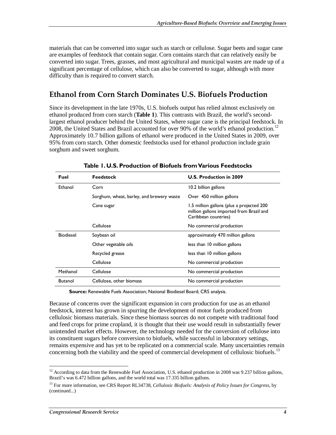materials that can be converted into sugar such as starch or cellulose. Sugar beets and sugar cane are examples of feedstock that contain sugar. Corn contains starch that can relatively easily be converted into sugar. Trees, grasses, and most agricultural and municipal wastes are made up of a significant percentage of cellulose, which can also be converted to sugar, although with more difficulty than is required to convert starch.

## **Ethanol from Corn Starch Dominates U.S. Biofuels Production**

Since its development in the late 1970s, U.S. biofuels output has relied almost exclusively on ethanol produced from corn starch (**Table 1**). This contrasts with Brazil, the world's secondlargest ethanol producer behind the United States, where sugar cane is the principal feedstock. In 2008, the United States and Brazil accounted for over 90% of the world's ethanol production.<sup>12</sup> Approximately 10.7 billion gallons of ethanol were produced in the United States in 2009, over 95% from corn starch. Other domestic feedstocks used for ethanol production include grain sorghum and sweet sorghum.

| <b>Fuel</b>      | <b>Feedstock</b>                          | U.S. Production in 2009                                                                                       |
|------------------|-------------------------------------------|---------------------------------------------------------------------------------------------------------------|
| Ethanol          | Corn                                      | 10.2 billion gallons                                                                                          |
|                  | Sorghum, wheat, barley, and brewery waste | Over 450 million gallons                                                                                      |
|                  | Cane sugar                                | 1.5 million gallons (plus a projected 200<br>million gallons imported from Brazil and<br>Caribbean countries) |
|                  | Cellulose                                 | No commercial production                                                                                      |
| <b>Biodiesel</b> | Soybean oil                               | approximately 470 million gallons                                                                             |
|                  | Other vegetable oils                      | less than 10 million gallons                                                                                  |
|                  | Recycled grease                           | less than 10 million gallons                                                                                  |
|                  | Cellulose                                 | No commercial production                                                                                      |
| Methanol         | Cellulose                                 | No commercial production                                                                                      |
| <b>Butanol</b>   | Cellulose, other biomass                  | No commercial production                                                                                      |

**Table 1. U.S. Production of Biofuels from Various Feedstocks** 

**Source:** Renewable Fuels Association; National Biodiesel Board; CRS analysis.

Because of concerns over the significant expansion in corn production for use as an ethanol feedstock, interest has grown in spurring the development of motor fuels produced from cellulosic biomass materials. Since these biomass sources do not compete with traditional food and feed crops for prime cropland, it is thought that their use would result in substantially fewer unintended market effects. However, the technology needed for the conversion of cellulose into its constituent sugars before conversion to biofuels, while successful in laboratory settings, remains expensive and has yet to be replicated on a commercial scale. Many uncertainties remain concerning both the viability and the speed of commercial development of cellulosic biofuels.<sup>13</sup>

 $12$  According to data from the Renewable Fuel Association, U.S. ethanol production in 2008 was 9.237 billion gallons, Brazil's was 6.472 billion gallons, and the world total was 17.335 billion gallons.

<sup>13</sup> For more information, see CRS Report RL34738, *Cellulosic Biofuels: Analysis of Policy Issues for Congress*, by (continued...)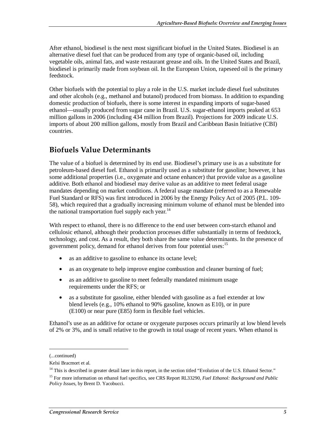After ethanol, biodiesel is the next most significant biofuel in the United States. Biodiesel is an alternative diesel fuel that can be produced from any type of organic-based oil, including vegetable oils, animal fats, and waste restaurant grease and oils. In the United States and Brazil, biodiesel is primarily made from soybean oil. In the European Union, rapeseed oil is the primary feedstock.

Other biofuels with the potential to play a role in the U.S. market include diesel fuel substitutes and other alcohols (e.g., methanol and butanol) produced from biomass. In addition to expanding domestic production of biofuels, there is some interest in expanding imports of sugar-based ethanol—usually produced from sugar cane in Brazil. U.S. sugar-ethanol imports peaked at 653 million gallons in 2006 (including 434 million from Brazil). Projections for 2009 indicate U.S. imports of about 200 million gallons, mostly from Brazil and Caribbean Basin Initiative (CBI) countries.

### **Biofuels Value Determinants**

The value of a biofuel is determined by its end use. Biodiesel's primary use is as a substitute for petroleum-based diesel fuel. Ethanol is primarily used as a substitute for gasoline; however, it has some additional properties (i.e., oxygenate and octane enhancer) that provide value as a gasoline additive. Both ethanol and biodiesel may derive value as an additive to meet federal usage mandates depending on market conditions. A federal usage mandate (referred to as a Renewable Fuel Standard or RFS) was first introduced in 2006 by the Energy Policy Act of 2005 (P.L. 109- 58), which required that a gradually increasing minimum volume of ethanol must be blended into the national transportation fuel supply each year. $^{14}$ 

With respect to ethanol, there is no difference to the end user between corn-starch ethanol and cellulosic ethanol, although their production processes differ substantially in terms of feedstock, technology, and cost. As a result, they both share the same value determinants. In the presence of government policy, demand for ethanol derives from four potential uses:<sup>15</sup>

- as an additive to gasoline to enhance its octane level;
- as an oxygenate to help improve engine combustion and cleaner burning of fuel;
- as an additive to gasoline to meet federally mandated minimum usage requirements under the RFS; or
- as a substitute for gasoline, either blended with gasoline as a fuel extender at low blend levels (e.g., 10% ethanol to 90% gasoline, known as E10), or in pure (E100) or near pure (E85) form in flexible fuel vehicles.

Ethanol's use as an additive for octane or oxygenate purposes occurs primarily at low blend levels of 2% or 3%, and is small relative to the growth in total usage of recent years. When ethanol is

1

<sup>(...</sup>continued)

Kelsi Bracmort et al.

 $14$  This is described in greater detail later in this report, in the section titled "Evolution of the U.S. Ethanol Sector."

<sup>15</sup> For more information on ethanol fuel specifics, see CRS Report RL33290, *Fuel Ethanol: Background and Public Policy Issues*, by Brent D. Yacobucci.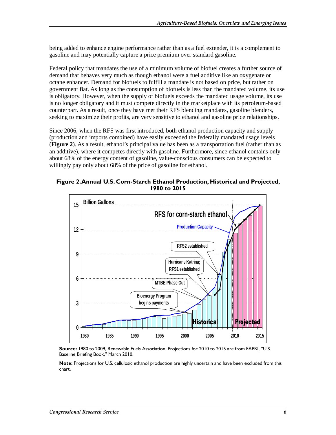being added to enhance engine performance rather than as a fuel extender, it is a complement to gasoline and may potentially capture a price premium over standard gasoline.

Federal policy that mandates the use of a minimum volume of biofuel creates a further source of demand that behaves very much as though ethanol were a fuel additive like an oxygenate or octane enhancer. Demand for biofuels to fulfill a mandate is not based on price, but rather on government fiat. As long as the consumption of biofuels is less than the mandated volume, its use is obligatory. However, when the supply of biofuels exceeds the mandated usage volume, its use is no longer obligatory and it must compete directly in the marketplace with its petroleum-based counterpart. As a result, once they have met their RFS blending mandates, gasoline blenders, seeking to maximize their profits, are very sensitive to ethanol and gasoline price relationships.

Since 2006, when the RFS was first introduced, both ethanol production capacity and supply (production and imports combined) have easily exceeded the federally mandated usage levels (**Figure 2**). As a result, ethanol's principal value has been as a transportation fuel (rather than as an additive), where it competes directly with gasoline. Furthermore, since ethanol contains only about 68% of the energy content of gasoline, value-conscious consumers can be expected to willingly pay only about 68% of the price of gasoline for ethanol.

**Figure 2. Annual U.S. Corn-Starch Ethanol Production, Historical and Projected, 1980 to 2015** 



**Source:** 1980 to 2009, Renewable Fuels Association. Projections for 2010 to 2015 are from FAPRI, "U.S. Baseline Briefing Book," March 2010.

**Note:** Projections for U.S. cellulosic ethanol production are highly uncertain and have been excluded from this chart.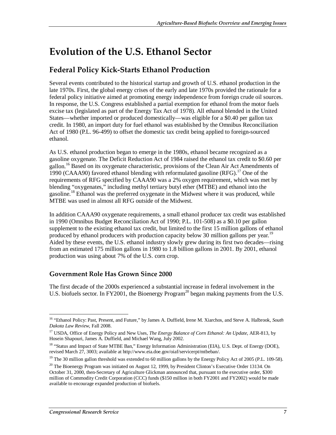# **Evolution of the U.S. Ethanol Sector**

## **Federal Policy Kick-Starts Ethanol Production**

Several events contributed to the historical startup and growth of U.S. ethanol production in the late 1970s. First, the global energy crises of the early and late 1970s provided the rationale for a federal policy initiative aimed at promoting energy independence from foreign crude oil sources. In response, the U.S. Congress established a partial exemption for ethanol from the motor fuels excise tax (legislated as part of the Energy Tax Act of 1978). All ethanol blended in the United States—whether imported or produced domestically—was eligible for a \$0.40 per gallon tax credit. In 1980, an import duty for fuel ethanol was established by the Omnibus Reconciliation Act of 1980 (P.L. 96-499) to offset the domestic tax credit being applied to foreign-sourced ethanol.

As U.S. ethanol production began to emerge in the 1980s, ethanol became recognized as a gasoline oxygenate. The Deficit Reduction Act of 1984 raised the ethanol tax credit to \$0.60 per gallon.<sup>16</sup> Based on its oxygenate characteristic, provisions of the Clean Air Act Amendments of 1990 (CAAA90) favored ethanol blending with reformulated gasoline  $(RFG)$ .<sup>17</sup> One of the requirements of RFG specified by CAAA90 was a 2% oxygen requirement, which was met by blending "oxygenates," including methyl tertiary butyl ether (MTBE) and ethanol into the gasoline.18 Ethanol was the preferred oxygenate in the Midwest where it was produced, while MTBE was used in almost all RFG outside of the Midwest.

In addition CAAA90 oxygenate requirements, a small ethanol producer tax credit was established in 1990 (Omnibus Budget Reconciliation Act of 1990; P.L. 101-508) as a \$0.10 per gallon supplement to the existing ethanol tax credit, but limited to the first 15 million gallons of ethanol produced by ethanol producers with production capacity below 30 million gallons per year.<sup>19</sup> Aided by these events, the U.S. ethanol industry slowly grew during its first two decades—rising from an estimated 175 million gallons in 1980 to 1.8 billion gallons in 2001. By 2001, ethanol production was using about 7% of the U.S. corn crop.

### **Government Role Has Grown Since 2000**

The first decade of the 2000s experienced a substantial increase in federal involvement in the U.S. biofuels sector. In FY2001, the Bioenergy Program<sup>20</sup> began making payments from the U.S.

<sup>-</sup>16 "Ethanol Policy: Past, Present, and Future," by James A. Duffield, Irene M. Xiarchos, and Steve A. Halbrook, *South Dakota Law Review*, Fall 2008.

<sup>17</sup> USDA, Office of Energy Policy and New Uses, *The Energy Balance of Corn Ethanol: An Update*, AER-813, by Hosein Shapouri, James A. Duffield, and Michael Wang, July 2002.

<sup>&</sup>lt;sup>18</sup> "Status and Impact of State MTBE Ban," Energy Information Administration (EIA), U.S. Dept. of Energy (DOE), revised March 27, 3003; available at http://www.eia.doe.gov/oiaf/servicerpt/mtbeban/.

<sup>&</sup>lt;sup>19</sup> The 30 million gallon threshold was extended to 60 million gallons by the Energy Policy Act of 2005 (P.L. 109-58).

 $20$  The Bioenergy Program was initiated on August 12, 1999, by President Clinton's Executive Order 13134. On October 31, 2000, then-Secretary of Agriculture Glickman announced that, pursuant to the executive order, \$300 million of Commodity Credit Corporation (CCC) funds (\$150 million in both FY2001 and FY2002) would be made available to encourage expanded production of biofuels.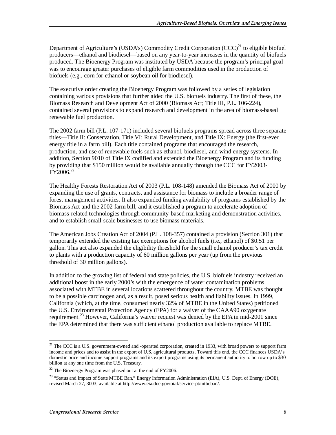Department of Agriculture's (USDA's) Commodity Credit Corporation (CCC)<sup>21</sup> to eligible biofuel producers—ethanol and biodiesel—based on any year-to-year increases in the quantity of biofuels produced. The Bioenergy Program was instituted by USDA because the program's principal goal was to encourage greater purchases of eligible farm commodities used in the production of biofuels (e.g., corn for ethanol or soybean oil for biodiesel).

The executive order creating the Bioenergy Program was followed by a series of legislation containing various provisions that further aided the U.S. biofuels industry. The first of these, the Biomass Research and Development Act of 2000 (Biomass Act; Title III, P.L. 106-224), contained several provisions to expand research and development in the area of biomass-based renewable fuel production.

The 2002 farm bill (P.L. 107-171) included several biofuels programs spread across three separate titles—Title II: Conservation, Title VI: Rural Development, and Title IX: Energy (the first-ever energy title in a farm bill). Each title contained programs that encouraged the research, production, and use of renewable fuels such as ethanol, biodiesel, and wind energy systems. In addition, Section 9010 of Title IX codified and extended the Bioenergy Program and its funding by providing that \$150 million would be available annually through the CCC for FY2003- FY2006.<sup>22</sup>

The Healthy Forests Restoration Act of 2003 (P.L. 108-148) amended the Biomass Act of 2000 by expanding the use of grants, contracts, and assistance for biomass to include a broader range of forest management activities. It also expanded funding availability of programs established by the Biomass Act and the 2002 farm bill, and it established a program to accelerate adoption of biomass-related technologies through community-based marketing and demonstration activities, and to establish small-scale businesses to use biomass materials.

The American Jobs Creation Act of 2004 (P.L. 108-357) contained a provision (Section 301) that temporarily extended the existing tax exemptions for alcohol fuels (i.e., ethanol) of \$0.51 per gallon. This act also expanded the eligibility threshold for the small ethanol producer's tax credit to plants with a production capacity of 60 million gallons per year (up from the previous threshold of 30 million gallons).

In addition to the growing list of federal and state policies, the U.S. biofuels industry received an additional boost in the early 2000's with the emergence of water contamination problems associated with MTBE in several locations scattered throughout the country. MTBE was thought to be a possible carcinogen and, as a result, posed serious health and liability issues. In 1999, California (which, at the time, consumed nearly 32% of MTBE in the United States) petitioned the U.S. Environmental Protection Agency (EPA) for a waiver of the CAAA90 oxygenate requirement.<sup>23</sup> However, California's waiver request was denied by the EPA in mid-2001 since the EPA determined that there was sufficient ethanol production available to replace MTBE.

<sup>-</sup> $21$  The CCC is a U.S. government-owned and -operated corporation, created in 1933, with broad powers to support farm income and prices and to assist in the export of U.S. agricultural products. Toward this end, the CCC finances USDA's domestic price and income support programs and its export programs using its permanent authority to borrow up to \$30 billion at any one time from the U.S. Treasury.

 $22$  The Bioenergy Program was phased out at the end of FY2006.

<sup>&</sup>lt;sup>23</sup> "Status and Impact of State MTBE Ban," Energy Information Administration (EIA), U.S. Dept. of Energy (DOE), revised March 27, 3003; available at http://www.eia.doe.gov/oiaf/servicerpt/mtbeban/.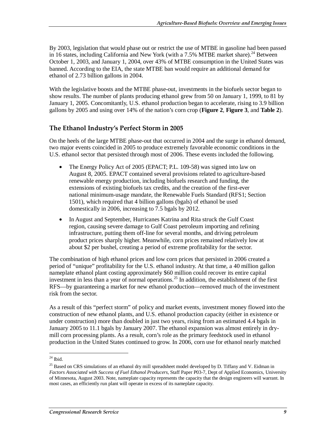By 2003, legislation that would phase out or restrict the use of MTBE in gasoline had been passed in 16 states, including California and New York (with a  $7.5\%$  MTBE market share).<sup>24</sup> Between October 1, 2003, and January 1, 2004, over 43% of MTBE consumption in the United States was banned. According to the EIA, the state MTBE ban would require an additional demand for ethanol of 2.73 billion gallons in 2004.

With the legislative boosts and the MTBE phase-out, investments in the biofuels sector began to show results. The number of plants producing ethanol grew from 50 on January 1, 1999, to 81 by January 1, 2005. Concomitantly, U.S. ethanol production began to accelerate, rising to 3.9 billion gallons by 2005 and using over 14% of the nation's corn crop (**Figure 2**, **Figure 3**, and **Table 2**).

### **The Ethanol Industry's Perfect Storm in 2005**

On the heels of the large MTBE phase-out that occurred in 2004 and the surge in ethanol demand, two major events coincided in 2005 to produce extremely favorable economic conditions in the U.S. ethanol sector that persisted through most of 2006. These events included the following.

- The Energy Policy Act of 2005 (EPACT; P.L. 109-58) was signed into law on August 8, 2005. EPACT contained several provisions related to agriculture-based renewable energy production, including biofuels research and funding, the extensions of existing biofuels tax credits, and the creation of the first-ever national minimum-usage mandate, the Renewable Fuels Standard (RFS1; Section 1501), which required that 4 billion gallons (bgals) of ethanol be used domestically in 2006, increasing to 7.5 bgals by 2012.
- In August and September, Hurricanes Katrina and Rita struck the Gulf Coast region, causing severe damage to Gulf Coast petroleum importing and refining infrastructure, putting them off-line for several months, and driving petroleum product prices sharply higher. Meanwhile, corn prices remained relatively low at about \$2 per bushel, creating a period of extreme profitability for the sector.

The combination of high ethanol prices and low corn prices that persisted in 2006 created a period of "unique" profitability for the U.S. ethanol industry. At that time, a 40 million gallon nameplate ethanol plant costing approximately \$60 million could recover its entire capital investment in less than a year of normal operations.<sup>25</sup> In addition, the establishment of the first RFS—by guaranteeing a market for new ethanol production—removed much of the investment risk from the sector.

As a result of this "perfect storm" of policy and market events, investment money flowed into the construction of new ethanol plants, and U.S. ethanol production capacity (either in existence or under construction) more than doubled in just two years, rising from an estimated 4.4 bgals in January 2005 to 11.1 bgals by January 2007. The ethanol expansion was almost entirely in drymill corn processing plants. As a result, corn's role as the primary feedstock used in ethanol production in the United States continued to grow. In 2006, corn use for ethanol nearly matched

<sup>&</sup>lt;u>.</u>  $24$  Ibid.

<sup>&</sup>lt;sup>25</sup> Based on CRS simulations of an ethanol dry mill spreadsheet model developed by D. Tiffany and V. Eidman in *Factors Associated with Success of Fuel Ethanol Producers*, Staff Paper P03-7, Dept of Applied Economics, University of Minnesota, August 2003. Note, nameplate capacity represents the capacity that the design engineers will warrant. In most cases, an efficiently run plant will operate in excess of its nameplate capacity.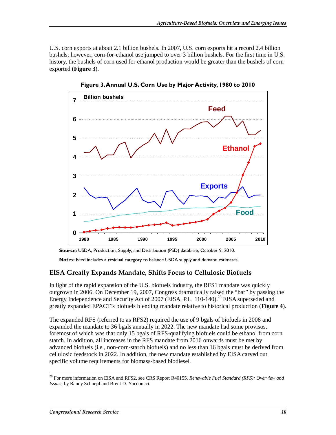U.S. corn exports at about 2.1 billion bushels. In 2007, U.S. corn exports hit a record 2.4 billion bushels; however, corn-for-ethanol use jumped to over 3 billion bushels. For the first time in U.S. history, the bushels of corn used for ethanol production would be greater than the bushels of corn exported (**Figure 3**).



**Figure 3. Annual U.S. Corn Use by Major Activity, 1980 to 2010** 

### **EISA Greatly Expands Mandate, Shifts Focus to Cellulosic Biofuels**

In light of the rapid expansion of the U.S. biofuels industry, the RFS1 mandate was quickly outgrown in 2006. On December 19, 2007, Congress dramatically raised the "bar" by passing the Energy Independence and Security Act of 2007 (EISA, P.L. 110-140).<sup>26</sup> EISA superseded and greatly expanded EPACT's biofuels blending mandate relative to historical production (**Figure 4**).

The expanded RFS (referred to as RFS2) required the use of 9 bgals of biofuels in 2008 and expanded the mandate to 36 bgals annually in 2022. The new mandate had some provisos, foremost of which was that only 15 bgals of RFS-qualifying biofuels could be ethanol from corn starch. In addition, all increases in the RFS mandate from 2016 onwards must be met by advanced biofuels (i.e., non-corn-starch biofuels) and no less than 16 bgals must be derived from cellulosic feedstock in 2022. In addition, the new mandate established by EISA carved out specific volume requirements for biomass-based biodiesel.

**Source:** USDA, Production, Supply, and Distribution (PSD) database, October 9, 2010.

**Notes:** Feed includes a residual category to balance USDA supply and demand estimates.

<sup>26</sup> For more information on EISA and RFS2, see CRS Report R40155, *Renewable Fuel Standard (RFS): Overview and Issues*, by Randy Schnepf and Brent D. Yacobucci.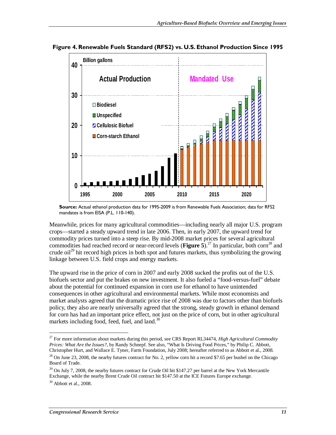

**Figure 4. Renewable Fuels Standard (RFS2) vs. U.S. Ethanol Production Since 1995** 

**Source:** Actual ethanol production data for 1995-2009 is from Renewable Fuels Association; data for RFS2 mandates is from EISA (P.L. 110-140).

Meanwhile, prices for many agricultural commodities—including nearly all major U.S. program crops—started a steady upward trend in late 2006. Then, in early 2007, the upward trend for commodity prices turned into a steep rise. By mid-2008 market prices for several agricultural commodities had reached record or near-record levels (**Figure 5**).<sup>27</sup> In particular, both corn<sup>28</sup> and crude oil<sup>29</sup> hit record high prices in both spot and futures markets, thus symbolizing the growing linkage between U.S. field crops and energy markets.

The upward rise in the price of corn in 2007 and early 2008 sucked the profits out of the U.S. biofuels sector and put the brakes on new investment. It also fueled a "food-versus-fuel" debate about the potential for continued expansion in corn use for ethanol to have unintended consequences in other agricultural and environmental markets. While most economists and market analysts agreed that the dramatic price rise of 2008 was due to factors other than biofuels policy, they also are nearly universally agreed that the strong, steady growth in ethanol demand for corn has had an important price effect, not just on the price of corn, but in other agricultural markets including food, feed, fuel, and land. $30$ 

<sup>27</sup> For more information about markets during this period, see CRS Report RL34474, *High Agricultural Commodity Prices: What Are the Issues?*, by Randy Schnepf. See also, "What Is Driving Food Prices," by Philip C. Abbott, Christopher Hurt, and Wallace E. Tyner, Farm Foundation, July 2008; hereafter referred to as Abbott et al., 2008.

 $^{28}$  On June 23, 2008, the nearby futures contract for No. 2, yellow corn hit a record \$7.65 per bushel on the Chicago Board of Trade.

 $29$  On July 7, 2008, the nearby futures contract for Crude Oil hit \$147.27 per barrel at the New York Mercantile Exchange, while the nearby Brent Crude Oil contract hit \$147.50 at the ICE Futures Europe exchange.

 $30$  Abbott et al., 2008.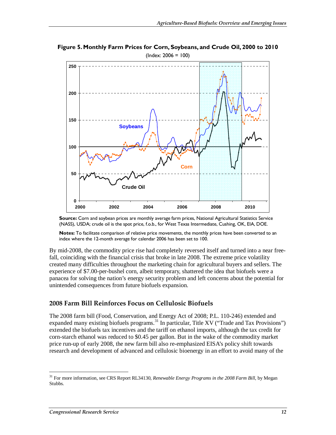

**Figure 5. Monthly Farm Prices for Corn, Soybeans, and Crude Oil, 2000 to 2010**  (Index: 2006 = 100)

**Source:** Corn and soybean prices are monthly average farm prices, National Agricultural Statistics Service (NASS), USDA; crude oil is the spot price, f.o.b., for West Texas Intermediate, Cushing, OK, EIA, DOE.

**Notes:** To facilitate comparison of relative price movements, the monthly prices have been converted to an index where the 12-month average for calendar 2006 has been set to 100.

By mid-2008, the commodity price rise had completely reversed itself and turned into a near freefall, coinciding with the financial crisis that broke in late 2008. The extreme price volatility created many difficulties throughout the marketing chain for agricultural buyers and sellers. The experience of \$7.00-per-bushel corn, albeit temporary, shattered the idea that biofuels were a panacea for solving the nation's energy security problem and left concerns about the potential for unintended consequences from future biofuels expansion.

### **2008 Farm Bill Reinforces Focus on Cellulosic Biofuels**

The 2008 farm bill (Food, Conservation, and Energy Act of 2008; P.L. 110-246) extended and expanded many existing biofuels programs.<sup>31</sup> In particular, Title XV ("Trade and Tax Provisions") extended the biofuels tax incentives and the tariff on ethanol imports, although the tax credit for corn-starch ethanol was reduced to \$0.45 per gallon. But in the wake of the commodity market price run-up of early 2008, the new farm bill also re-emphasized EISA's policy shift towards research and development of advanced and cellulosic bioenergy in an effort to avoid many of the

<sup>31</sup> For more information, see CRS Report RL34130, *Renewable Energy Programs in the 2008 Farm Bill*, by Megan Stubbs.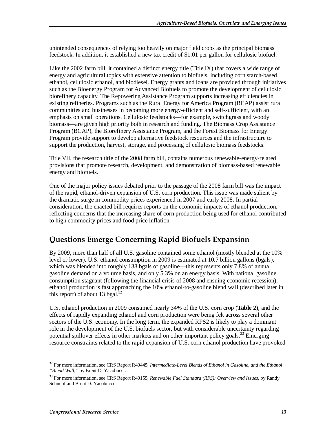unintended consequences of relying too heavily on major field crops as the principal biomass feedstock. In addition, it established a new tax credit of \$1.01 per gallon for cellulosic biofuel.

Like the 2002 farm bill, it contained a distinct energy title (Title IX) that covers a wide range of energy and agricultural topics with extensive attention to biofuels, including corn starch-based ethanol, cellulosic ethanol, and biodiesel. Energy grants and loans are provided through initiatives such as the Bioenergy Program for Advanced Biofuels to promote the development of cellulosic biorefinery capacity. The Repowering Assistance Program supports increasing efficiencies in existing refineries. Programs such as the Rural Energy for America Program (REAP) assist rural communities and businesses in becoming more energy-efficient and self-sufficient, with an emphasis on small operations. Cellulosic feedstocks—for example, switchgrass and woody biomass—are given high priority both in research and funding. The Biomass Crop Assistance Program (BCAP), the Biorefinery Assistance Program, and the Forest Biomass for Energy Program provide support to develop alternative feedstock resources and the infrastructure to support the production, harvest, storage, and processing of cellulosic biomass feedstocks.

Title VII, the research title of the 2008 farm bill, contains numerous renewable-energy-related provisions that promote research, development, and demonstration of biomass-based renewable energy and biofuels.

One of the major policy issues debated prior to the passage of the 2008 farm bill was the impact of the rapid, ethanol-driven expansion of U.S. corn production. This issue was made salient by the dramatic surge in commodity prices experienced in 2007 and early 2008. In partial consideration, the enacted bill requires reports on the economic impacts of ethanol production, reflecting concerns that the increasing share of corn production being used for ethanol contributed to high commodity prices and food price inflation.

## **Questions Emerge Concerning Rapid Biofuels Expansion**

By 2009, more than half of all U.S. gasoline contained some ethanol (mostly blended at the 10% level or lower). U.S. ethanol consumption in 2009 is estimated at 10.7 billion gallons (bgals), which was blended into roughly 138 bgals of gasoline—this represents only 7.8% of annual gasoline demand on a volume basis, and only 5.3% on an energy basis. With national gasoline consumption stagnant (following the financial crisis of 2008 and ensuing economic recession), ethanol production is fast approaching the 10% ethanol-to-gasoline blend wall (described later in this report) of about 13 bgal. $^{32}$ 

U.S. ethanol production in 2009 consumed nearly 34% of the U.S. corn crop (**Table 2**), and the effects of rapidly expanding ethanol and corn production were being felt across several other sectors of the U.S. economy. In the long term, the expanded RFS2 is likely to play a dominant role in the development of the U.S. biofuels sector, but with considerable uncertainty regarding potential spillover effects in other markets and on other important policy goals.<sup>33</sup> Emerging resource constraints related to the rapid expansion of U.S. corn ethanol production have provoked

<sup>-</sup><sup>32</sup> For more information, see CRS Report R40445, *Intermediate-Level Blends of Ethanol in Gasoline, and the Ethanol "Blend Wall,"* by Brent D. Yacobucci.

<sup>33</sup> For more information, see CRS Report R40155, *Renewable Fuel Standard (RFS): Overview and Issues*, by Randy Schnepf and Brent D. Yacobucci.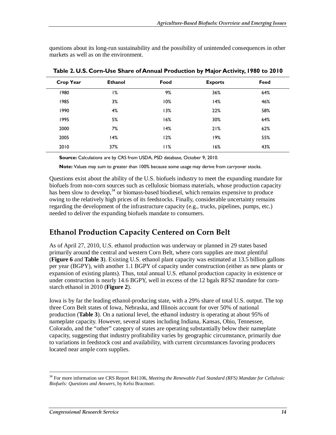questions about its long-run sustainability and the possibility of unintended consequences in other markets as well as on the environment.

| <b>Crop Year</b> | <b>Ethanol</b> | Food | <b>Exports</b> | Feed |
|------------------|----------------|------|----------------|------|
| 980              | 1%             | 9%   | 36%            | 64%  |
| 1985             | 3%             | 10%  | 14%            | 46%  |
| 1990             | 4%             | 13%  | 22%            | 58%  |
| 1995             | 5%             | 16%  | 30%            | 64%  |
| 2000             | 7%             | 14%  | 21%            | 62%  |
| 2005             | 14%            | 12%  | 19%            | 55%  |
| 2010             | 37%            | 11%  | 16%            | 43%  |

**Table 2. U.S. Corn-Use Share of Annual Production by Major Activity, 1980 to 2010** 

**Source:** Calculations are by CRS from USDA, PSD database, October 9, 2010.

**Note:** Values may sum to greater than 100% because some usage may derive from carryover stocks.

Questions exist about the ability of the U.S. biofuels industry to meet the expanding mandate for biofuels from non-corn sources such as cellulosic biomass materials, whose production capacity has been slow to develop,  $34$  or biomass-based biodiesel, which remains expensive to produce owing to the relatively high prices of its feedstocks. Finally, considerable uncertainty remains regarding the development of the infrastructure capacity (e.g., trucks, pipelines, pumps, etc.) needed to deliver the expanding biofuels mandate to consumers.

## **Ethanol Production Capacity Centered on Corn Belt**

As of April 27, 2010, U.S. ethanol production was underway or planned in 29 states based primarily around the central and western Corn Belt, where corn supplies are most plentiful (**Figure 6** and **Table 3**). Existing U.S. ethanol plant capacity was estimated at 13.5 billion gallons per year (BGPY), with another 1.1 BGPY of capacity under construction (either as new plants or expansion of existing plants). Thus, total annual U.S. ethanol production capacity in existence or under construction is nearly 14.6 BGPY, well in excess of the 12 bgals RFS2 mandate for cornstarch ethanol in 2010 (**Figure 2**).

Iowa is by far the leading ethanol-producing state, with a 29% share of total U.S. output. The top three Corn Belt states of Iowa, Nebraska, and Illinois account for over 50% of national production (**Table 3**). On a national level, the ethanol industry is operating at about 95% of nameplate capacity. However, several states including Indiana, Kansas, Ohio, Tennessee, Colorado, and the "other" category of states are operating substantially below their nameplate capacity, suggesting that industry profitability varies by geographic circumstance, primarily due to variations in feedstock cost and availability, with current circumstances favoring producers located near ample corn supplies.

<sup>34</sup> For more information see CRS Report R41106, *Meeting the Renewable Fuel Standard (RFS) Mandate for Cellulosic Biofuels: Questions and Answers*, by Kelsi Bracmort.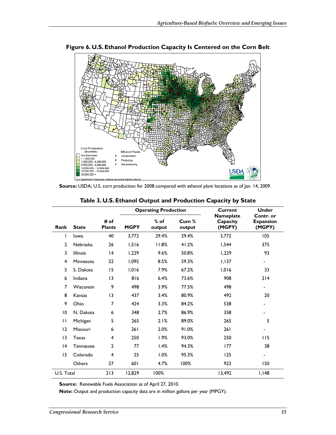

**Figure 6. U.S. Ethanol Production Capacity Is Centered on the Corn Belt** 

**Source:** USDA; U.S. corn production for 2008 compared with ethanol plant locations as of Jan. 14, 2009.

|                 |                  |                       | <b>Operating Production</b> |                  | <b>Current</b>  | <b>Under</b>                           |                                         |
|-----------------|------------------|-----------------------|-----------------------------|------------------|-----------------|----------------------------------------|-----------------------------------------|
| Rank            | <b>State</b>     | # of<br><b>Plants</b> | <b>MGPY</b>                 | $%$ of<br>output | Cum %<br>output | <b>Nameplate</b><br>Capacity<br>(MGPY) | Contr. or<br><b>Expansion</b><br>(MGPY) |
| I               | lowa             | 40                    | 3.772                       | 29.4%            | 29.4%           | 3,772                                  | 105                                     |
| $\mathbf{2}$    | Nebraska         | 26                    | 1,516                       | 11.8%            | 41.2%           | 1,544                                  | 375                                     |
| 3               | <b>Illinois</b>  | 4                     | 1,229                       | 9.6%             | 50.8%           | 1,229                                  | 93                                      |
| $\overline{4}$  | Minnesota        | 22                    | 1,095                       | 8.5%             | 59.3%           | 1,137                                  | -                                       |
| 5               | S. Dakota        | 15                    | 1,016                       | 7.9%             | 67.2%           | 1,016                                  | 33                                      |
| 6               | Indiana          | 3                     | 816                         | 6.4%             | 73.6%           | 908                                    | 214                                     |
| 7               | Wisconsin        | 9                     | 498                         | 3.9%             | 77.5%           | 498                                    | Ξ.                                      |
| 8               | Kansas           | 3                     | 437                         | 3.4%             | 80.9%           | 492                                    | 20                                      |
| 9               | Ohio             | 7                     | 424                         | 3.3%             | 84.2%           | 538                                    | -                                       |
| $\overline{10}$ | N. Dakota        | 6                     | 348                         | 2.7%             | 86.9%           | 358                                    | ۰                                       |
| П               | Michigan         | 5                     | 265                         | 2.1%             | 89.0%           | 265                                    | 5                                       |
| 12              | Missouri         | 6                     | 261                         | 2.0%             | 91.0%           | 261                                    |                                         |
| 13              | Texas            | 4                     | 250                         | 1.9%             | 93.0%           | 250                                    | 115                                     |
| 4               | <b>Tennessee</b> | $\mathbf{2}$          | 77                          | 1.4%             | 94.3%           | 177                                    | 38                                      |
| 15              | Colorado         | 4                     | 25                          | 1.0%             | 95.3%           | 125                                    | ٠                                       |
|                 | Others           | 27                    | 601                         | 4.7%             | 100%            | 923                                    | 150                                     |
| U.S. Total      |                  | 213                   | 12,829                      | 100%             |                 | 13.492                                 | I, I48                                  |

**Table 3. U.S. Ethanol Output and Production Capacity by State** 

**Source:** Renewable Fuels Association as of April 27, 2010.

**Note:** Output and production capacity data are in million gallons per year (MPGY).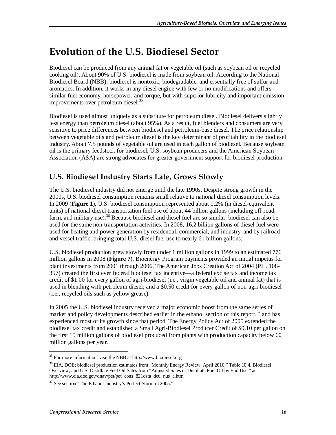# **Evolution of the U.S. Biodiesel Sector**

Biodiesel can be produced from any animal fat or vegetable oil (such as soybean oil or recycled cooking oil). About 90% of U.S. biodiesel is made from soybean oil. According to the National Biodiesel Board (NBB), biodiesel is nontoxic, biodegradable, and essentially free of sulfur and aromatics. In addition, it works in any diesel engine with few or no modifications and offers similar fuel economy, horsepower, and torque, but with superior lubricity and important emission improvements over petroleum diesel.<sup>35</sup>

Biodiesel is used almost uniquely as a substitute for petroleum diesel. Biodiesel delivers slightly less energy than petroleum diesel (about 95%). As a result, fuel blenders and consumers are very sensitive to price differences between biodiesel and petroleum-base diesel. The price relationship between vegetable oils and petroleum diesel is the key determinant of profitability in the biodiesel industry. About 7.5 pounds of vegetable oil are used in each gallon of biodiesel. Because soybean oil is the primary feedstock for biodiesel, U.S. soybean producers and the American Soybean Association (ASA) are strong advocates for greater government support for biodiesel production.

## **U.S. Biodiesel Industry Starts Late, Grows Slowly**

The U.S. biodiesel industry did not emerge until the late 1990s. Despite strong growth in the 2000s, U.S. biodiesel consumption remains small relative to national diesel consumption levels. In 2009 (**Figure 1**), U.S. biodiesel consumption represented about 1.2% (in diesel-equivalent units) of national diesel transportation fuel use of about 44 billion gallons (including off-road, farm, and military use).<sup>36</sup> Because biodiesel and diesel fuel are so similar, biodiesel can also be used for the same non-transportation activities. In 2008, 16.2 billion gallons of diesel fuel were used for heating and power generation by residential, commercial, and industry, and by railroad and vessel traffic, bringing total U.S. diesel fuel use to nearly 61 billion gallons.

U.S. biodiesel production grew slowly from under 1 million gallons in 1999 to an estimated 776 million gallons in 2008 (**Figure 7**). Bioenergy Program payments provided an initial impetus for plant investments from 2001 through 2006. The American Jobs Creation Act of 2004 (P.L. 108- 357) created the first ever federal biodiesel tax incentive—a federal excise tax and income tax credit of \$1.00 for every gallon of agri-biodiesel (i.e., virgin vegetable oil and animal fat) that is used in blending with petroleum diesel; and a \$0.50 credit for every gallon of non-agri-biodiesel (i.e., recycled oils such as yellow grease).

In 2005 the U.S. biodiesel industry received a major economic boost from the same series of market and policy developments described earlier in the ethanol section of this report,  $37$  and has experienced most of its growth since that period. The Energy Policy Act of 2005 extended the biodiesel tax credit and established a Small Agri-Biodiesel Producer Credit of \$0.10 per gallon on the first 15 million gallons of biodiesel produced from plants with production capacity below 60 million gallons per year.

 $\overline{a}$ <sup>35</sup> For more information, visit the NBB at http://www.biodiesel.org.

<sup>&</sup>lt;sup>36</sup> EIA, DOE; biodiesel production estimates from "Monthly Energy Review, April 2010," Table 10.4, Biodiesel Overview; and U.S. Distillate Fuel Oil Sales from "Adjusted Sales of Distillate Fuel Oil by End Use," at http://www.eia.doe.gov/dnav/pet/pet\_cons\_821dsta\_dcu\_nus\_a.htm.

 $37$  See section "The Ethanol Industry's Perfect Storm in 2005."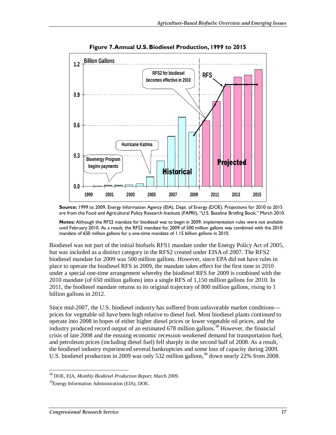

**Figure 7. Annual U.S. Biodiesel Production, 1999 to 2015** 

**Notes:** Although the RFS2 mandate for biodiesel was to begin in 2009, implementation rules were not available until February 2010. As a result, the RFS2 mandate for 2009 of 500 million gallons was combined with the 2010 mandate of 650 million gallons for a one-time mandate of 1.15 billion gallons in 2010.

Biodiesel was not part of the initial biofuels RFS1 mandate under the Energy Policy Act of 2005, but was included as a distinct category in the RFS2 created under EISA of 2007. The RFS2 biodiesel mandate for 2009 was 500 million gallons. However, since EPA did not have rules in place to operate the biodiesel RFS in 2009, the mandate takes effect for the first time in 2010 under a special one-time arrangement whereby the biodiesel RFS for 2009 is combined with the 2010 mandate (of 650 million gallons) into a single RFS of 1,150 million gallons for 2010. In 2011, the biodiesel mandate returns to its original trajectory of 800 million gallons, rising to 1 billion gallons in 2012.

Since mid-2007, the U.S. biodiesel industry has suffered from unfavorable market conditions prices for vegetable oil have been high relative to diesel fuel. Most biodiesel plants continued to operate into 2008 in hopes of either higher diesel prices or lower vegetable oil prices, and the industry produced record output of an estimated  $678$  million gallons.<sup>38</sup> However, the financial crisis of late 2008 and the ensuing economic recession weakened demand for transportation fuel, and petroleum prices (including diesel fuel) fell sharply in the second half of 2008. As a result, the biodiesel industry experienced several bankruptcies and some loss of capacity during 2009. U.S. biodiesel production in 2009 was only 532 million gallons,<sup>39</sup> down nearly 22% from 2008.

**Source:** 1999 to 2009, Energy Information Agency (EIA), Dept. of Energy (DOE). Projections for 2010 to 2015 are from the Food and Agricultural Policy Research Institute (FAPRI), "U.S. Baseline Briefing Book," March 2010.

 $\overline{a}$ 38 DOE, EIA, *Monthly Biodiesel Production Report*, March 2009.

<sup>&</sup>lt;sup>39</sup>Energy Information Administration (EIA), DOE.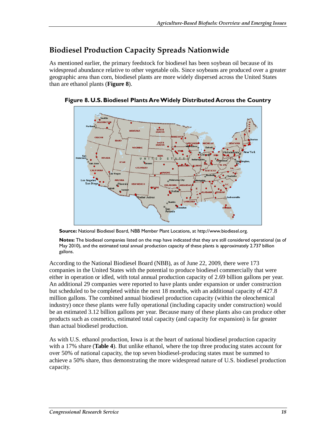## **Biodiesel Production Capacity Spreads Nationwide**

As mentioned earlier, the primary feedstock for biodiesel has been soybean oil because of its widespread abundance relative to other vegetable oils. Since soybeans are produced over a greater geographic area than corn, biodiesel plants are more widely dispersed across the United States than are ethanol plants (**Figure 8**).



**Figure 8. U.S. Biodiesel Plants Are Widely Distributed Across the Country** 

**Source:** National Biodiesel Board, NBB Member Plant Locations, at http://www.biodiesel.org.

**Notes:** The biodiesel companies listed on the map have indicated that they are still considered operational (as of May 2010), and the estimated total annual production capacity of these plants is approximately 2.737 billion gallons.

According to the National Biodiesel Board (NBB), as of June 22, 2009, there were 173 companies in the United States with the potential to produce biodiesel commercially that were either in operation or idled, with total annual production capacity of 2.69 billion gallons per year. An additional 29 companies were reported to have plants under expansion or under construction but scheduled to be completed within the next 18 months, with an additional capacity of 427.8 million gallons. The combined annual biodiesel production capacity (within the oleochemical industry) once these plants were fully operational (including capacity under construction) would be an estimated 3.12 billion gallons per year. Because many of these plants also can produce other products such as cosmetics, estimated total capacity (and capacity for expansion) is far greater than actual biodiesel production.

As with U.S. ethanol production, Iowa is at the heart of national biodiesel production capacity with a 17% share (**Table 4**). But unlike ethanol, where the top three producing states account for over 50% of national capacity, the top seven biodiesel-producing states must be summed to achieve a 50% share, thus demonstrating the more widespread nature of U.S. biodiesel production capacity.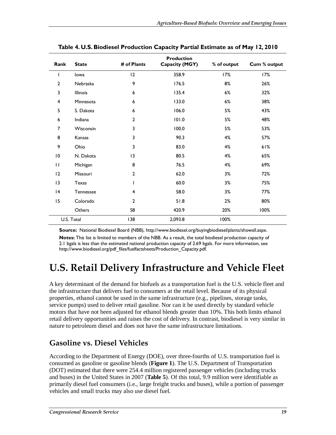| Rank            | <b>State</b> | # of Plants     | <b>Production</b><br>Capacity (MGY) | % of output | Cum % output |
|-----------------|--------------|-----------------|-------------------------------------|-------------|--------------|
| T               | lowa         | 12              | 358.9                               | 17%         | 17%          |
| $\overline{2}$  | Nebraska     | 9               | 176.5                               | 8%          | 26%          |
| 3               | Illinois     | 6               | 135.4                               | 6%          | 32%          |
| 4               | Minnesota    | 6               | 133.0                               | 6%          | 38%          |
| 5               | S. Dakota    | 6               | 106.0                               | 5%          | 43%          |
| 6               | Indiana      | $\overline{2}$  | 101.0                               | 5%          | 48%          |
| 7               | Wisconsin    | 3               | 100.0                               | 5%          | 53%          |
| 8               | Kansas       | 3               | 90.3                                | 4%          | 57%          |
| 9               | Ohio         | 3               | 83.0                                | 4%          | 61%          |
| $\overline{10}$ | N. Dakota    | $\overline{13}$ | 80.5                                | 4%          | 65%          |
| $\mathbf{H}$    | Michigan     | 8               | 76.5                                | 4%          | 69%          |
| 12              | Missouri     | $\overline{2}$  | 62.0                                | 3%          | 72%          |
| $\overline{13}$ | Texas        | ı               | 60.0                                | 3%          | 75%          |
| 4               | Tennessee    | 4               | 58.0                                | 3%          | 77%          |
| 15              | Colorado     | $\overline{2}$  | 51.8                                | 2%          | 80%          |
|                 | Others       | 58              | 420.9                               | 20%         | 100%         |
|                 | U.S. Total   | 138             | 2,093.8                             | 100%        |              |

**Table 4. U.S. Biodiesel Production Capacity Partial Estimate as of May 12, 2010** 

**Source:** National Biodiesel Board (NBB), http://www.biodiesel.org/buyingbiodiesel/plants/showall.aspx.

**Notes:** This list is limited to members of the NBB. As a result, the total biodiesel production capacity of 2.1 bgals is less than the estimated national production capacity of 2.69 bgals. For more information, see http://www.biodiesel.org/pdf\_files/fuelfactsheets/Production\_Capacity.pdf.

# **U.S. Retail Delivery Infrastructure and Vehicle Fleet**

A key determinant of the demand for biofuels as a transportation fuel is the U.S. vehicle fleet and the infrastructure that delivers fuel to consumers at the retail level. Because of its physical properties, ethanol cannot be used in the same infrastructure (e.g., pipelines, storage tanks, service pumps) used to deliver retail gasoline. Nor can it be used directly by standard vehicle motors that have not been adjusted for ethanol blends greater than 10%. This both limits ethanol retail delivery opportunities and raises the cost of delivery. In contrast, biodiesel is very similar in nature to petroleum diesel and does not have the same infrastructure limitations.

### **Gasoline vs. Diesel Vehicles**

According to the Department of Energy (DOE), over three-fourths of U.S. transportation fuel is consumed as gasoline or gasoline blends (**Figure 1**). The U.S. Department of Transportation (DOT) estimated that there were 254.4 million registered passenger vehicles (including trucks and buses) in the United States in 2007 (**Table 5**). Of this total, 9.9 million were identifiable as primarily diesel fuel consumers (i.e., large freight trucks and buses), while a portion of passenger vehicles and small trucks may also use diesel fuel.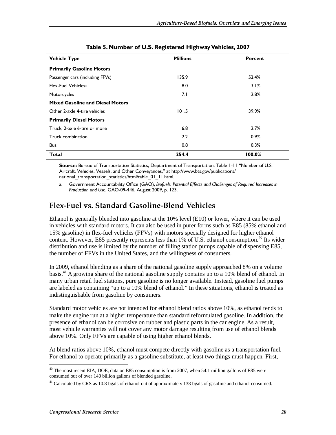| <b>Vehicle Type</b>                     | <b>Millions</b> | Percent |
|-----------------------------------------|-----------------|---------|
| <b>Primarily Gasoline Motors</b>        |                 |         |
| Passenger cars (including FFVs)         | 135.9           | 53.4%   |
| Flex-Fuel Vehicles <sup>a</sup>         | 8.0             | 3.1%    |
| Motorcycles                             | 7.1             | 2.8%    |
| <b>Mixed Gasoline and Diesel Motors</b> |                 |         |
| Other 2-axle 4-tire vehicles            | 101.5           | 39.9%   |
| <b>Primarily Diesel Motors</b>          |                 |         |
| Truck, 2-axle 6-tire or more            | 6.8             | 2.7%    |
| Truck combination                       | 2.2             | $0.9\%$ |
| <b>Bus</b>                              | 0.8             | 0.3%    |
| <b>Total</b>                            | 254.4           | 100.0%  |

#### **Table 5. Number of U.S. Registered Highway Vehicles, 2007**

**Source:** Bureau of Transportation Statistics, Deptartment of Transportation, Table 1-11 "Number of U.S. Aircraft, Vehicles, Vessels, and Other Conveyances," at http://www.bts.gov/publications/ national transportation statistics/html/table 01 11.html.

a. Government Accountability Office (GAO), *Biofuels: Potential Effects and Challenges of Required Increases in Production and Use*, GAO-09-446, August 2009, p. 123.

### **Flex-Fuel vs. Standard Gasoline-Blend Vehicles**

Ethanol is generally blended into gasoline at the 10% level (E10) or lower, where it can be used in vehicles with standard motors. It can also be used in purer forms such as E85 (85% ethanol and 15% gasoline) in flex-fuel vehicles (FFVs) with motors specially designed for higher ethanol content. However, E85 presently represents less than  $1\%$  of U.S. ethanol consumption.<sup>40</sup> Its wider distribution and use is limited by the number of filling station pumps capable of dispensing E85, the number of FFVs in the United States, and the willingness of consumers.

In 2009, ethanol blending as a share of the national gasoline supply approached 8% on a volume basis.41 A growing share of the national gasoline supply contains up to a 10% blend of ethanol. In many urban retail fuel stations, pure gasoline is no longer available. Instead, gasoline fuel pumps are labeled as containing "up to a 10% blend of ethanol." In these situations, ethanol is treated as indistinguishable from gasoline by consumers.

Standard motor vehicles are not intended for ethanol blend ratios above 10%, as ethanol tends to make the engine run at a higher temperature than standard reformulated gasoline. In addition, the presence of ethanol can be corrosive on rubber and plastic parts in the car engine. As a result, most vehicle warranties will not cover any motor damage resulting from use of ethanol blends above 10%. Only FFVs are capable of using higher ethanol blends.

At blend ratios above 10%, ethanol must compete directly with gasoline as a transportation fuel. For ethanol to operate primarily as a gasoline substitute, at least two things must happen. First,

<sup>-</sup> $40$  The most recent EIA, DOE, data on E85 consumption is from 2007, when 54.1 million gallons of E85 were consumed out of over 140 billion gallons of blended gasoline.

<sup>&</sup>lt;sup>41</sup> Calculated by CRS as 10.8 bgals of ethanol out of approximately 138 bgals of gasoline and ethanol consumed.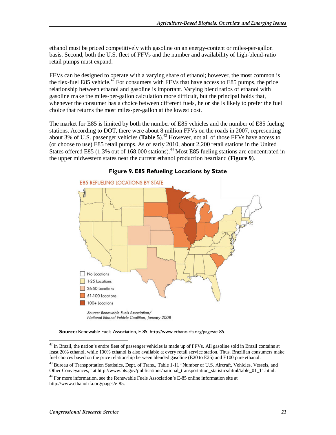ethanol must be priced competitively with gasoline on an energy-content or miles-per-gallon basis. Second, both the U.S. fleet of FFVs and the number and availability of high-blend-ratio retail pumps must expand.

FFVs can be designed to operate with a varying share of ethanol; however, the most common is the flex-fuel E85 vehicle.<sup>42</sup> For consumers with FFVs that have access to E85 pumps, the price relationship between ethanol and gasoline is important. Varying blend ratios of ethanol with gasoline make the miles-per-gallon calculation more difficult, but the principal holds that, whenever the consumer has a choice between different fuels, he or she is likely to prefer the fuel choice that returns the most miles-per-gallon at the lowest cost.

The market for E85 is limited by both the number of E85 vehicles and the number of E85 fueling stations. According to DOT, there were about 8 million FFVs on the roads in 2007, representing about 3% of U.S. passenger vehicles (**Table 5**).<sup>43</sup> However, not all of those FFVs have access to (or choose to use) E85 retail pumps. As of early 2010, about 2,200 retail stations in the United States offered E85 (1.3% out of 168,000 stations).<sup>44</sup> Most E85 fueling stations are concentrated in the upper midwestern states near the current ethanol production heartland (**Figure 9**).



**Figure 9. E85 Refueling Locations by State** 

**Source:** Renewable Fuels Association, E-85, http://www.ethanolrfa.org/pages/e-85.

<sup>-</sup> $42$  In Brazil, the nation's entire fleet of passenger vehicles is made up of FFVs. All gasoline sold in Brazil contains at least 20% ethanol, while 100% ethanol is also available at every retail service station. Thus, Brazilian consumers make fuel choices based on the price relationship between blended gasoline (E20 to E25) and E100 pure ethanol.

<sup>&</sup>lt;sup>43</sup> Bureau of Transportation Statistics, Dept. of Trans., Table 1-11 "Number of U.S. Aircraft, Vehicles, Vessels, and Other Conveyances," at http://www.bts.gov/publications/national\_transportation\_statistics/html/table\_01\_11.html.

<sup>44</sup> For more information, see the Renewable Fuels Association's E-85 online information site at http://www.ethanolrfa.org/pages/e-85.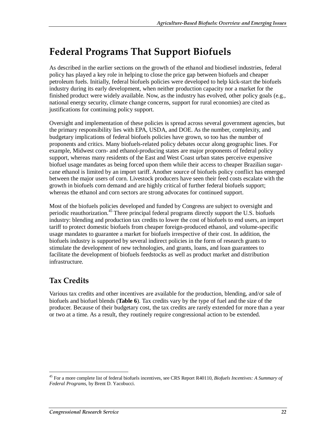# **Federal Programs That Support Biofuels**

As described in the earlier sections on the growth of the ethanol and biodiesel industries, federal policy has played a key role in helping to close the price gap between biofuels and cheaper petroleum fuels. Initially, federal biofuels policies were developed to help kick-start the biofuels industry during its early development, when neither production capacity nor a market for the finished product were widely available. Now, as the industry has evolved, other policy goals (e.g., national energy security, climate change concerns, support for rural economies) are cited as justifications for continuing policy support.

Oversight and implementation of these policies is spread across several government agencies, but the primary responsibility lies with EPA, USDA, and DOE. As the number, complexity, and budgetary implications of federal biofuels policies have grown, so too has the number of proponents and critics. Many biofuels-related policy debates occur along geographic lines. For example, Midwest corn- and ethanol-producing states are major proponents of federal policy support, whereas many residents of the East and West Coast urban states perceive expensive biofuel usage mandates as being forced upon them while their access to cheaper Brazilian sugarcane ethanol is limited by an import tariff. Another source of biofuels policy conflict has emerged between the major users of corn. Livestock producers have seen their feed costs escalate with the growth in biofuels corn demand and are highly critical of further federal biofuels support; whereas the ethanol and corn sectors are strong advocates for continued support.

Most of the biofuels policies developed and funded by Congress are subject to oversight and periodic reauthorization.<sup>45</sup> Three principal federal programs directly support the U.S. biofuels industry: blending and production tax credits to lower the cost of biofuels to end users, an import tariff to protect domestic biofuels from cheaper foreign-produced ethanol, and volume-specific usage mandates to guarantee a market for biofuels irrespective of their cost. In addition, the biofuels industry is supported by several indirect policies in the form of research grants to stimulate the development of new technologies, and grants, loans, and loan guarantees to facilitate the development of biofuels feedstocks as well as product market and distribution infrastructure.

# **Tax Credits**

-

Various tax credits and other incentives are available for the production, blending, and/or sale of biofuels and biofuel blends (**Table 6**). Tax credits vary by the type of fuel and the size of the producer. Because of their budgetary cost, the tax credits are rarely extended for more than a year or two at a time. As a result, they routinely require congressional action to be extended.

<sup>45</sup> For a more complete list of federal biofuels incentives, see CRS Report R40110, *Biofuels Incentives: A Summary of Federal Programs*, by Brent D. Yacobucci.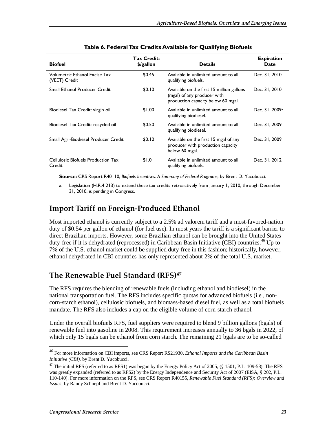| <b>Biofuel</b>                                 | Tax Credit:<br>\$/gallon | <b>Details</b>                                                                                                 | <b>Expiration</b><br>Date |
|------------------------------------------------|--------------------------|----------------------------------------------------------------------------------------------------------------|---------------------------|
| Volumetric Ethanol Excise Tax<br>(VEET) Credit | \$0.45                   | Available in unlimited amount to all<br>qualifying biofuels.                                                   | Dec. 31, 2010             |
| <b>Small Ethanol Producer Credit</b>           | \$0.10                   | Available on the first 15 million gallons<br>(mgal) of any producer with<br>production capacity below 60 mgal. | Dec. 31, 2010             |
| Biodiesel Tax Credit: virgin oil               | \$1.00                   | Available in unlimited amount to all<br>qualifying biodiesel.                                                  | Dec. 31, 2009a            |
| Biodiesel Tax Credit: recycled oil             | \$0.50                   | Available in unlimited amount to all<br>qualifying biodiesel.                                                  | Dec. 31, 2009             |
| Small Agri-Biodiesel Producer Credit           | \$0.10                   | Available on the first 15 mgal of any<br>producer with production capacity<br>below 60 mgal.                   | Dec. 31, 2009             |
| Cellulosic Biofuels Production Tax<br>Credit   | \$1.01                   | Available in unlimited amount to all<br>qualifying biofuels.                                                   | Dec. 31, 2012             |

#### **Table 6. Federal Tax Credits Available for Qualifying Biofuels**

**Source:** CRS Report R40110, *Biofuels Incentives: A Summary of Federal Programs*, by Brent D. Yacobucci.

a. Legislation (H.R.4 213) to extend these tax credits retroactively from January 1, 2010, through December 31, 2010, is pending in Congress.

### **Import Tariff on Foreign-Produced Ethanol**

Most imported ethanol is currently subject to a 2.5% ad valorem tariff and a most-favored-nation duty of \$0.54 per gallon of ethanol (for fuel use). In most years the tariff is a significant barrier to direct Brazilian imports. However, some Brazilian ethanol can be brought into the United States duty-free if it is dehydrated (reprocessed) in Caribbean Basin Initiative (CBI) countries.<sup>46</sup> Up to 7% of the U.S. ethanol market could be supplied duty-free in this fashion; historically, however, ethanol dehydrated in CBI countries has only represented about 2% of the total U.S. market.

### **The Renewable Fuel Standard (RFS)47**

The RFS requires the blending of renewable fuels (including ethanol and biodiesel) in the national transportation fuel. The RFS includes specific quotas for advanced biofuels (i.e., noncorn-starch ethanol), cellulosic biofuels, and biomass-based diesel fuel, as well as a total biofuels mandate. The RFS also includes a cap on the eligible volume of corn-starch ethanol.

Under the overall biofuels RFS, fuel suppliers were required to blend 9 billion gallons (bgals) of renewable fuel into gasoline in 2008. This requirement increases annually to 36 bgals in 2022, of which only 15 bgals can be ethanol from corn starch. The remaining 21 bgals are to be so-called

<sup>46</sup> For more information on CBI imports, see CRS Report RS21930, *Ethanol Imports and the Caribbean Basin Initiative (CBI)*, by Brent D. Yacobucci.

<sup>&</sup>lt;sup>47</sup> The initial RFS (referred to as RFS1) was begun by the Energy Policy Act of 2005, (§ 1501; P.L. 109-58). The RFS was greatly expanded (referred to as RFS2) by the Energy Independence and Security Act of 2007 (EISA, § 202, P.L. 110-140). For more information on the RFS, see CRS Report R40155, *Renewable Fuel Standard (RFS): Overview and Issues*, by Randy Schnepf and Brent D. Yacobucci.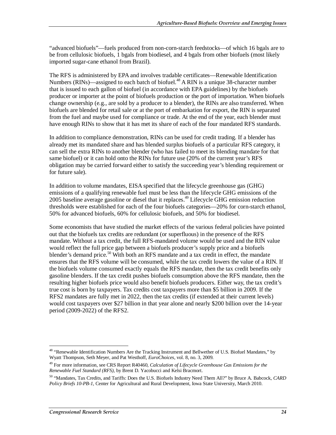"advanced biofuels"—fuels produced from non-corn-starch feedstocks—of which 16 bgals are to be from cellulosic biofuels, 1 bgals from biodiesel, and 4 bgals from other biofuels (most likely imported sugar-cane ethanol from Brazil).

The RFS is administered by EPA and involves tradable certificates—Renewable Identification Numbers (RINs)—assigned to each batch of biofuel.<sup>48</sup> A RIN is a unique 38-character number that is issued to each gallon of biofuel (in accordance with EPA guidelines) by the biofuels producer or importer at the point of biofuels production or the port of importation. When biofuels change ownership (e.g., are sold by a producer to a blender), the RINs are also transferred. When biofuels are blended for retail sale or at the port of embarkation for export, the RIN is separated from the fuel and maybe used for compliance or trade. At the end of the year, each blender must have enough RINs to show that it has met its share of each of the four mandated RFS standards.

In addition to compliance demonstration, RINs can be used for credit trading. If a blender has already met its mandated share and has blended surplus biofuels of a particular RFS category, it can sell the extra RINs to another blender (who has failed to meet its blending mandate for that same biofuel) or it can hold onto the RINs for future use (20% of the current year's RFS obligation may be carried forward either to satisfy the succeeding year's blending requirement or for future sale).

In addition to volume mandates, EISA specified that the lifecycle greenhouse gas (GHG) emissions of a qualifying renewable fuel must be less than the lifecycle GHG emissions of the 2005 baseline average gasoline or diesel that it replaces.<sup>49</sup> Lifecycle GHG emission reduction thresholds were established for each of the four biofuels categories—20% for corn-starch ethanol, 50% for advanced biofuels, 60% for cellulosic biofuels, and 50% for biodiesel.

Some economists that have studied the market effects of the various federal policies have pointed out that the biofuels tax credits are redundant (or superfluous) in the presence of the RFS mandate. Without a tax credit, the full RFS-mandated volume would be used and the RIN value would reflect the full price gap between a biofuels producer's supply price and a biofuels blender's demand price.<sup>50</sup> With both an RFS mandate and a tax credit in effect, the mandate ensures that the RFS volume will be consumed, while the tax credit lowers the value of a RIN. If the biofuels volume consumed exactly equals the RFS mandate, then the tax credit benefits only gasoline blenders. If the tax credit pushes biofuels consumption above the RFS mandate, then the resulting higher biofuels price would also benefit biofuels producers. Either way, the tax credit's true cost is born by taxpayers. Tax credits cost taxpayers more than \$5 billion in 2009. If the RFS2 mandates are fully met in 2022, then the tax credits (if extended at their current levels) would cost taxpayers over \$27 billion in that year alone and nearly \$200 billion over the 14-year period (2009-2022) of the RFS2.

<sup>-</sup><sup>48</sup> "Renewable Identification Numbers Are the Tracking Instrument and Bellwether of U.S. Biofuel Mandates," by Wyatt Thompson, Seth Meyer, and Pat Westhoff, *EuroChoices*, vol. 8, no. 3, 2009*.* 

<sup>49</sup> For more information, see CRS Report R40460, *Calculation of Lifecycle Greenhouse Gas Emissions for the Renewable Fuel Standard (RFS)*, by Brent D. Yacobucci and Kelsi Bracmort.

<sup>50 &</sup>quot;Mandates, Tax Credits, and Tariffs: Does the U.S. Biofuels Industry Need Them All?" by Bruce A. Babcock, *CARD Policy Briefs 10-PB-1*, Center for Agricultural and Rural Development, Iowa State University, March 2010.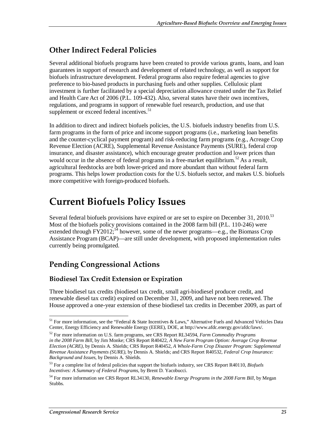## **Other Indirect Federal Policies**

Several additional biofuels programs have been created to provide various grants, loans, and loan guarantees in support of research and development of related technology, as well as support for biofuels infrastructure development. Federal programs also require federal agencies to give preference to bio-based products in purchasing fuels and other supplies. Cellulosic plant investment is further facilitated by a special depreciation allowance created under the Tax Relief and Health Care Act of 2006 (P.L. 109-432). Also, several states have their own incentives, regulations, and programs in support of renewable fuel research, production, and use that supplement or exceed federal incentives.<sup>51</sup>

In addition to direct and indirect biofuels policies, the U.S. biofuels industry benefits from U.S. farm programs in the form of price and income support programs (i.e., marketing loan benefits and the counter-cyclical payment program) and risk-reducing farm programs (e.g., Acreage Crop Revenue Election (ACRE), Supplemental Revenue Assistance Payments (SURE), federal crop insurance, and disaster assistance), which encourage greater production and lower prices than would occur in the absence of federal programs in a free-market equilibrium.<sup>52</sup> As a result, agricultural feedstocks are both lower-priced and more abundant than without federal farm programs. This helps lower production costs for the U.S. biofuels sector, and makes U.S. biofuels more competitive with foreign-produced biofuels.

# **Current Biofuels Policy Issues**

Several federal biofuels provisions have expired or are set to expire on December 31,  $2010^{53}$ Most of the biofuels policy provisions contained in the 2008 farm bill (P.L. 110-246) were extended through  $FY2012$ ;<sup>54</sup> however, some of the newer programs—e.g., the Biomass Crop Assistance Program (BCAP)—are still under development, with proposed implementation rules currently being promulgated.

## **Pending Congressional Actions**

### **Biodiesel Tax Credit Extension or Expiration**

Three biodiesel tax credits (biodiesel tax credit, small agri-biodiesel producer credit, and renewable diesel tax credit) expired on December 31, 2009, and have not been renewed. The House approved a one-year extension of these biodiesel tax credits in December 2009, as part of

<sup>-</sup><sup>51</sup> For more information, see the "Federal & State Incentives & Laws," Alternative Fuels and Advanced Vehicles Data Center, Energy Efficiency and Renewable Energy (EERE), DOE, at http://www.afdc.energy.gov/afdc/laws/.

<sup>52</sup> For more information on U.S. farm programs, see CRS Report RL34594, *Farm Commodity Programs in the 2008 Farm Bill*, by Jim Monke; CRS Report R40422, *A New Farm Program Option: Average Crop Revenue Election (ACRE)*, by Dennis A. Shields; CRS Report R40452, *A Whole-Farm Crop Disaster Program: Supplemental Revenue Assistance Payments (SURE)*, by Dennis A. Shields; and CRS Report R40532, *Federal Crop Insurance: Background and Issues*, by Dennis A. Shields.

<sup>53</sup> For a complete list of federal policies that support the biofuels industry, see CRS Report R40110, *Biofuels Incentives: A Summary of Federal Programs*, by Brent D. Yacobucci.

<sup>54</sup> For more information see CRS Report RL34130, *Renewable Energy Programs in the 2008 Farm Bill*, by Megan Stubbs.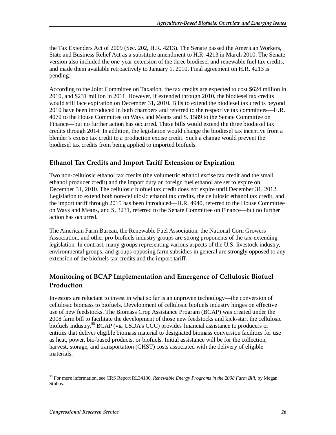the Tax Extenders Act of 2009 (Sec. 202, H.R. 4213). The Senate passed the American Workers, State and Business Relief Act as a substitute amendment to H.R. 4213 in March 2010. The Senate version also included the one-year extension of the three biodiesel and renewable fuel tax credits, and made them available retroactively to January 1, 2010. Final agreement on H.R. 4213 is pending.

According to the Joint Committee on Taxation, the tax credits are expected to cost \$624 million in 2010, and \$231 million in 2011. However, if extended through 2010, the biodiesel tax credits would still face expiration on December 31, 2010. Bills to extend the biodiesel tax credits beyond 2010 have been introduced in both chambers and referred to the respective tax committees—H.R. 4070 to the House Committee on Ways and Means and S. 1589 to the Senate Committee on Finance—but no further action has occurred. These bills would extend the three biodiesel tax credits through 2014. In addition, the legislation would change the biodiesel tax incentive from a blender's excise tax credit to a production excise credit. Such a change would prevent the biodiesel tax credits from being applied to imported biofuels.

### **Ethanol Tax Credits and Import Tariff Extension or Expiration**

Two non-cellulosic ethanol tax credits (the volumetric ethanol excise tax credit and the small ethanol producer credit) and the import duty on foreign fuel ethanol are set to expire on December 31, 2010. The cellulosic biofuel tax credit does not expire until December 31, 2012. Legislation to extend both non-cellulosic ethanol tax credits, the cellulosic ethanol tax credit, and the import tariff through 2015 has been introduced—H.R. 4940, referred to the House Committee on Ways and Means, and S. 3231, referred to the Senate Committee on Finance—but no further action has occurred.

The American Farm Bureau, the Renewable Fuel Association, the National Corn Growers Association, and other pro-biofuels industry groups are strong proponents of the tax-extending legislation. In contrast, many groups representing various aspects of the U.S. livestock industry, environmental groups, and groups opposing farm subsidies in general are strongly opposed to any extension of the biofuels tax credits and the import tariff.

### **Monitoring of BCAP Implementation and Emergence of Cellulosic Biofuel Production**

Investors are reluctant to invest in what so far is an unproven technology—the conversion of cellulosic biomass to biofuels. Development of cellulosic biofuels industry hinges on effective use of new feedstocks. The Biomass Crop Assistance Program (BCAP) was created under the 2008 farm bill to facilitate the development of those new feedstocks and kick-start the cellulosic biofuels industry.<sup>55</sup> BCAP (via USDA's CCC) provides financial assistance to producers or entities that deliver eligible biomass material to designated biomass conversion facilities for use as heat, power, bio-based products, or biofuels. Initial assistance will be for the collection, harvest, storage, and transportation (CHST) costs associated with the delivery of eligible materials.

<sup>55</sup> For more information, see CRS Report RL34130, *Renewable Energy Programs in the 2008 Farm Bill*, by Megan Stubbs.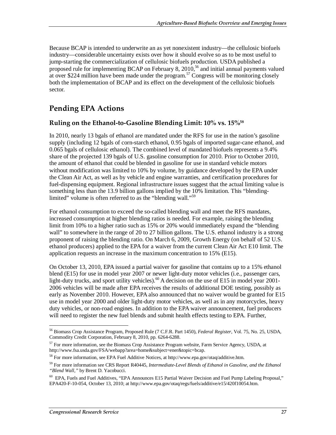Because BCAP is intended to underwrite an as yet nonexistent industry—the cellulosic biofuels industry—considerable uncertainty exists over how it should evolve so as to be most useful to jump-starting the commercialization of cellulosic biofuels production. USDA published a proposed rule for implementing BCAP on February 8,  $2010$ ,<sup>56</sup> and initial annual payments valued at over \$224 million have been made under the program.<sup>57</sup> Congress will be monitoring closely both the implementation of BCAP and its effect on the development of the cellulosic biofuels sector.

# **Pending EPA Actions**

### **Ruling on the Ethanol-to-Gasoline Blending Limit: 10% vs. 15%58**

In 2010, nearly 13 bgals of ethanol are mandated under the RFS for use in the nation's gasoline supply (including 12 bgals of corn-starch ethanol, 0.95 bgals of imported sugar-cane ethanol, and 0.065 bgals of cellulosic ethanol). The combined level of mandated biofuels represents a 9.4% share of the projected 139 bgals of U.S. gasoline consumption for 2010. Prior to October 2010, the amount of ethanol that could be blended in gasoline for use in standard vehicle motors without modification was limited to 10% by volume, by guidance developed by the EPA under the Clean Air Act, as well as by vehicle and engine warranties, and certification procedures for fuel-dispensing equipment. Regional infrastructure issues suggest that the actual limiting value is something less than the 13.9 billion gallons implied by the 10% limitation. This "blendinglimited" volume is often referred to as the "blending wall."<sup>59</sup>

For ethanol consumption to exceed the so-called blending wall and meet the RFS mandates, increased consumption at higher blending ratios is needed. For example, raising the blending limit from 10% to a higher ratio such as 15% or 20% would immediately expand the "blending wall" to somewhere in the range of 20 to 27 billion gallons. The U.S. ethanol industry is a strong proponent of raising the blending ratio. On March 6, 2009, Growth Energy (on behalf of 52 U.S. ethanol producers) applied to the EPA for a waiver from the current Clean Air Act E10 limit. The application requests an increase in the maximum concentration to 15% (E15).

On October 13, 2010, EPA issued a partial waiver for gasoline that contains up to a 15% ethanol blend (E15) for use in model year 2007 or newer light-duty motor vehicles (i.e., passenger cars, light-duty trucks, and sport utility vehicles).<sup>60</sup> A decision on the use of E15 in model year 2001-2006 vehicles will be made after EPA receives the results of additional DOE testing, possibly as early as November 2010. However, EPA also announced that no waiver would be granted for E15 use in model year 2000 and older light-duty motor vehicles, as well as in any motorcycles, heavy duty vehicles, or non-road engines. In addition to the EPA waiver announcement, fuel producers will need to register the new fuel blends and submit health effects testing to EPA. Further,

<sup>-</sup>56 Biomass Crop Assistance Program, Proposed Rule (7 C.F.R. Part 1450), *Federal Register*, Vol. 75, No. 25, USDA, Commodity Credit Corporation, February 8, 2010, pp. 6264-6288.

<sup>&</sup>lt;sup>57</sup> For more information, see the Biomass Crop Assistance Program website, Farm Service Agency, USDA, at http://www.fsa.usda.gov/FSA/webapp?area=home&subject=ener&topic=bcap.

<sup>58</sup> For more information, see EPA Fuel Additive Notices, at http://www.epa.gov/otaq/additive.htm.

<sup>59</sup> For more information see CRS Report R40445, *Intermediate-Level Blends of Ethanol in Gasoline, and the Ethanol "Blend Wall,"* by Brent D. Yacobucci.

<sup>60</sup> EPA, Fuels and Fuel Additives, "EPA Announces E15 Partial Waiver Decision and Fuel Pump Labeling Proposal," EPA420-F-10-054, October 13, 2010; at http://www.epa.gov/otaq/regs/fuels/additive/e15/420f10054.htm.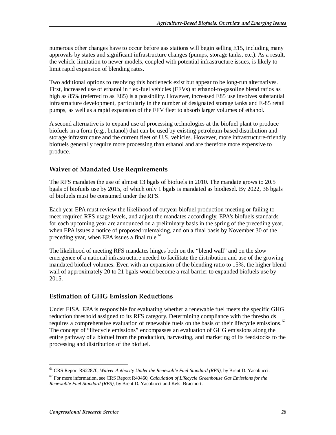numerous other changes have to occur before gas stations will begin selling E15, including many approvals by states and significant infrastructure changes (pumps, storage tanks, etc.). As a result, the vehicle limitation to newer models, coupled with potential infrastructure issues, is likely to limit rapid expansion of blending rates.

Two additional options to resolving this bottleneck exist but appear to be long-run alternatives. First, increased use of ethanol in flex-fuel vehicles (FFVs) at ethanol-to-gasoline blend ratios as high as 85% (referred to as E85) is a possibility. However, increased E85 use involves substantial infrastructure development, particularly in the number of designated storage tanks and E-85 retail pumps, as well as a rapid expansion of the FFV fleet to absorb larger volumes of ethanol.

A second alternative is to expand use of processing technologies at the biofuel plant to produce biofuels in a form (e.g., butanol) that can be used by existing petroleum-based distribution and storage infrastructure and the current fleet of U.S. vehicles. However, more infrastructure-friendly biofuels generally require more processing than ethanol and are therefore more expensive to produce.

### **Waiver of Mandated Use Requirements**

The RFS mandates the use of almost 13 bgals of biofuels in 2010. The mandate grows to 20.5 bgals of biofuels use by 2015, of which only 1 bgals is mandated as biodiesel. By 2022, 36 bgals of biofuels must be consumed under the RFS.

Each year EPA must review the likelihood of outyear biofuel production meeting or failing to meet required RFS usage levels, and adjust the mandates accordingly. EPA's biofuels standards for each upcoming year are announced on a preliminary basis in the spring of the preceding year, when EPA issues a notice of proposed rulemaking, and on a final basis by November 30 of the preceding year, when EPA issues a final rule. $^{61}$ 

The likelihood of meeting RFS mandates hinges both on the "blend wall" and on the slow emergence of a national infrastructure needed to facilitate the distribution and use of the growing mandated biofuel volumes. Even with an expansion of the blending ratio to 15%, the higher blend wall of approximately 20 to 21 bgals would become a real barrier to expanded biofuels use by 2015.

### **Estimation of GHG Emission Reductions**

Under EISA, EPA is responsible for evaluating whether a renewable fuel meets the specific GHG reduction threshold assigned to its RFS category. Determining compliance with the thresholds requires a comprehensive evaluation of renewable fuels on the basis of their lifecycle emissions.<sup>62</sup> The concept of "lifecycle emissions" encompasses an evaluation of GHG emissions along the entire pathway of a biofuel from the production, harvesting, and marketing of its feedstocks to the processing and distribution of the biofuel.

<sup>-</sup>61 CRS Report RS22870, *Waiver Authority Under the Renewable Fuel Standard (RFS)*, by Brent D. Yacobucci.

 $^{62}$  For more information, see CRS Report R40460, *Calculation of Lifecycle Greenhouse Gas Emissions for the Renewable Fuel Standard (RFS)*, by Brent D. Yacobucci and Kelsi Bracmort.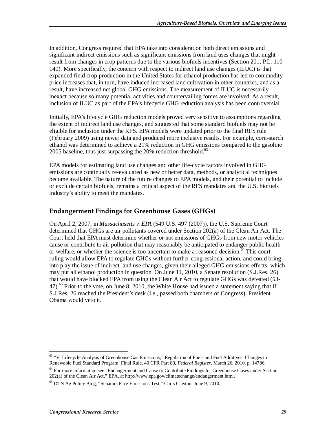In addition, Congress required that EPA take into consideration both direct emissions and significant indirect emissions such as significant emissions from land uses changes that might result from changes in crop patterns due to the various biofuels incentives (Section 201, P.L. 110- 140). More specifically, the concern with respect to indirect land use changes (ILUC) is that expanded field crop production in the United States for ethanol production has led to commodity price increases that, in turn, have induced increased land cultivation in other countries, and as a result, have increased net global GHG emissions. The measurement of ILUC is necessarily inexact because so many potential activities and countervailing forces are involved. As a result, inclusion of ILUC as part of the EPA's lifecycle GHG reduction analysis has been controversial.

Initially, EPA's lifecycle GHG reduction models proved very sensitive to assumptions regarding the extent of indirect land use changes, and suggested that some standard biofuels may not be eligible for inclusion under the RFS. EPA models were updated prior to the final RFS rule (February 2009) using newer data and produced more inclusive results. For example, corn-starch ethanol was determined to achieve a 21% reduction in GHG emissions compared to the gasoline 2005 baseline, thus just surpassing the 20% reduction threshold.<sup>63</sup>

EPA models for estimating land use changes and other life-cycle factors involved in GHG emissions are continually re-evaluated as new or better data, methods, or analytical techniques become available. The nature of the future changes to EPA models, and their potential to include or exclude certain biofuels, remains a critical aspect of the RFS mandates and the U.S. biofuels industry's ability to meet the mandates.

### **Endangerment Findings for Greenhouse Gases (GHGs)**

On April 2, 2007, in *Massachusetts v. EPA* (549 U.S. 497 (2007)), the U.S. Supreme Court determined that GHGs are air pollutants covered under Section 202(a) of the Clean Air Act. The Court held that EPA must determine whether or not emissions of GHGs from new motor vehicles cause or contribute to air pollution that may reasonably be anticipated to endanger public health or welfare, or whether the science is too uncertain to make a reasoned decision.<sup>64</sup> This court ruling would allow EPA to regulate GHGs without further congressional action, and could bring into play the issue of indirect land use changes, given their alleged GHG emissions effects, which may put all ethanol production in question. On June 11, 2010, a Senate resolution (S.J.Res. 26) that would have blocked EPA from using the Clean Air Act to regulate GHGs was defeated (53-  $47$ ).<sup>65</sup> Prior to the vote, on June 8, 2010, the White House had issued a statement saying that if S.J.Res. 26 reached the President's desk (i.e., passed both chambers of Congress), President Obama would veto it.

<sup>-</sup><sup>63</sup> "V. Lifecycle Analysis of Greenhouse Gas Emissions;" Regulation of Fuels and Fuel Additives: Changes to Renewable Fuel Standard Program; Final Rule, 40 CFR Part 80, *Federal Register*, March 26, 2010, p. 14786.

<sup>&</sup>lt;sup>64</sup> For more information see "Endangerment and Cause or Contribute Findings for Greenhouse Gases under Section 202(a) of the Clean Air Act," EPA, at http://www.epa.gov/climatechange/endangerment.html.

<sup>65</sup> DTN Ag Policy Blog, "Senators Face Emissions Test," Chris Clayton, June 9, 2010.